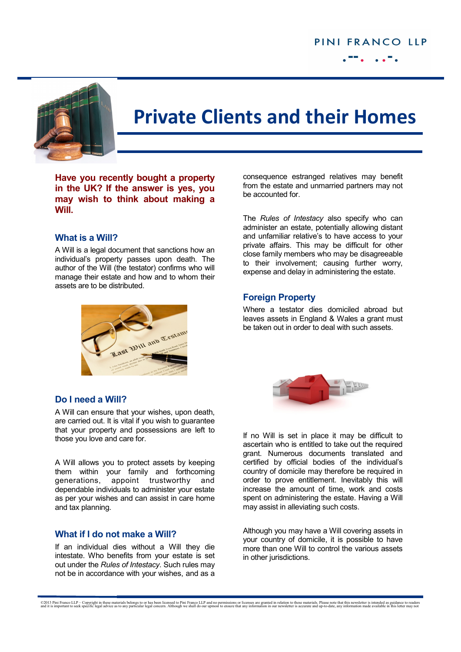

# **Private Clients and their Homes**

**Have you recently bought a property in the UK? If the answer is yes, you may wish to think about making a Will.**

#### **What is a Will?**

A Will is a legal document that sanctions how an individual's property passes upon death. The author of the Will (the testator) confirms who will manage their estate and how and to whom their assets are to be distributed.



consequence estranged relatives may benefit from the estate and unmarried partners may not be accounted for.

The *Rules of Intestacy* also specify who can administer an estate, potentially allowing distant and unfamiliar relative's to have access to your private affairs. This may be difficult for other close family members who may be disagreeable to their involvement; causing further worry, expense and delay in administering the estate.

## **Foreign Property**

Where a testator dies domiciled abroad but leaves assets in England & Wales a grant must be taken out in order to deal with such assets.

## **Do I need a Will?**

A Will can ensure that your wishes, upon death, are carried out. It is vital if you wish to guarantee that your property and possessions are left to those you love and care for.

A Will allows you to protect assets by keeping them within your family and forthcoming generations, appoint trustworthy and dependable individuals to administer your estate as per your wishes and can assist in care home and tax planning.

#### **What if I do not make a Will?**

If an individual dies without a Will they die intestate. Who benefits from your estate is set out under the *Rules of Intestacy*. Such rules may not be in accordance with your wishes, and as a



If no Will is set in place it may be difficult to ascertain who is entitled to take out the required grant. Numerous documents translated and certified by official bodies of the individual's country of domicile may therefore be required in order to prove entitlement. Inevitably this will increase the amount of time, work and costs spent on administering the estate. Having a Will may assist in alleviating such costs.

Although you may have a Will covering assets in your country of domicile, it is possible to have more than one Will to control the various assets in other jurisdictions.

©2013 Pini Franco LLP – Copyright in these materials belongs to or has been licensed to Pini Franco LLP and no permissions or licenses are granted in relation to these materials. Please note that in is incertain and up-to-